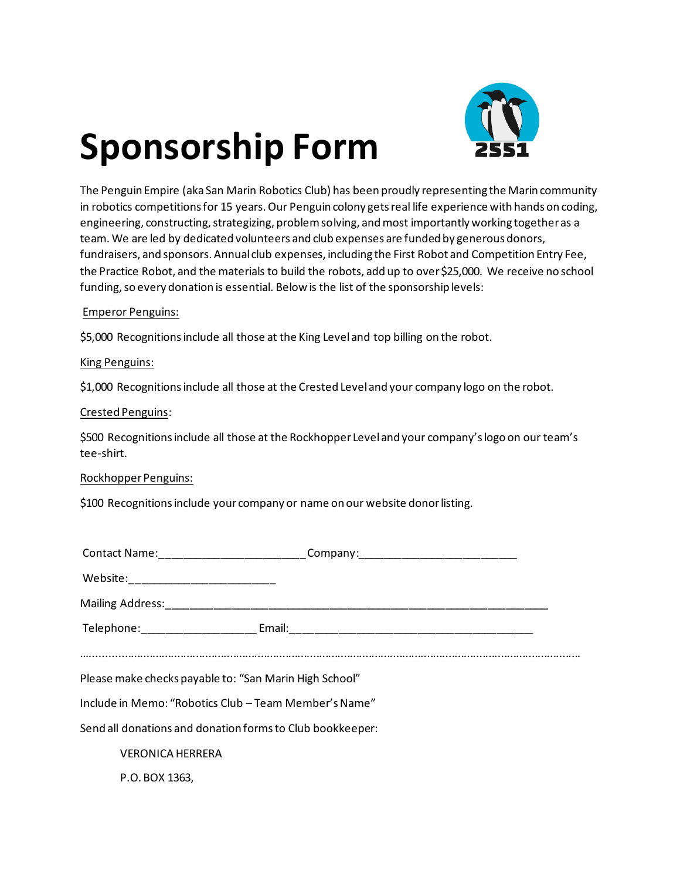# **Sponsorship Form**



The Penguin Empire (aka San Marin Robotics Club) has been proudly representing the Marin community in robotics competitions for 15 years. Our Penguin colony gets real life experience with hands on coding, engineering, constructing, strategizing, problem solving, and most importantly working together as a team. We are led by dedicated volunteers and club expenses are funded by generous donors, fundraisers, and sponsors. Annual club expenses, including the First Robot and Competition Entry Fee, the Practice Robot, and the materials to build the robots, add up to over \$25,000. We receive no school funding, so every donation is essential. Below is the list of the sponsorship levels:

## Emperor Penguins:

\$5,000 Recognitions include all those at the King Level and top billing on the robot.

## King Penguins:

\$1,000 Recognitions include all those at the Crested Level and your company logo on the robot.

#### Crested Penguins:

\$500 Recognitions include all those at the Rockhopper Level and your company's logo on our team's tee-shirt.

## Rockhopper Penguins:

\$100 Recognitions include your company or name on our website donor listing.

|                                                           |                         | Contact Name:_____________________________Company:______________________________ |  |
|-----------------------------------------------------------|-------------------------|----------------------------------------------------------------------------------|--|
|                                                           |                         |                                                                                  |  |
|                                                           |                         |                                                                                  |  |
|                                                           |                         |                                                                                  |  |
|                                                           |                         |                                                                                  |  |
| Please make checks payable to: "San Marin High School"    |                         |                                                                                  |  |
| Include in Memo: "Robotics Club - Team Member's Name"     |                         |                                                                                  |  |
| Send all donations and donation forms to Club bookkeeper: |                         |                                                                                  |  |
|                                                           | <b>VERONICA HERRERA</b> |                                                                                  |  |
|                                                           | P.O. BOX 1363,          |                                                                                  |  |
|                                                           |                         |                                                                                  |  |